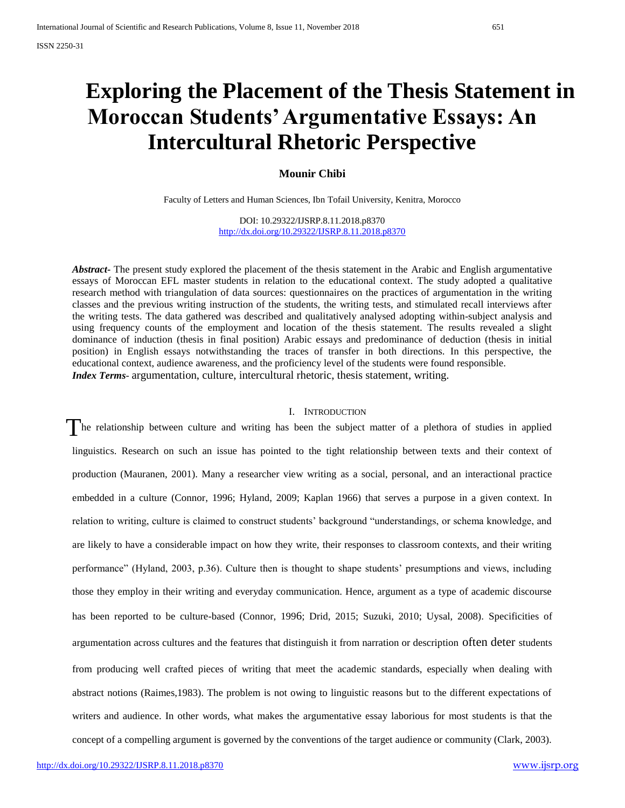# **Exploring the Placement of the Thesis Statement in Moroccan Students' Argumentative Essays: An Intercultural Rhetoric Perspective**

**Mounir Chibi**

Faculty of Letters and Human Sciences, Ibn Tofail University, Kenitra, Morocco

DOI: 10.29322/IJSRP.8.11.2018.p8370 <http://dx.doi.org/10.29322/IJSRP.8.11.2018.p8370>

*Abstract***-** The present study explored the placement of the thesis statement in the Arabic and English argumentative essays of Moroccan EFL master students in relation to the educational context. The study adopted a qualitative research method with triangulation of data sources: questionnaires on the practices of argumentation in the writing classes and the previous writing instruction of the students, the writing tests, and stimulated recall interviews after the writing tests. The data gathered was described and qualitatively analysed adopting within-subject analysis and using frequency counts of the employment and location of the thesis statement. The results revealed a slight dominance of induction (thesis in final position) Arabic essays and predominance of deduction (thesis in initial position) in English essays notwithstanding the traces of transfer in both directions. In this perspective, the educational context, audience awareness, and the proficiency level of the students were found responsible. *Index Terms*- argumentation, culture, intercultural rhetoric, thesis statement, writing.

#### I. INTRODUCTION

The relationship between culture and writing has been the subject matter of a plethora of studies in applied linguistics. Research on such an issue has pointed to the tight relationship between texts and their context of production (Mauranen, 2001). Many a researcher view writing as a social, personal, and an interactional practice embedded in a culture (Connor, 1996; Hyland, 2009; Kaplan 1966) that serves a purpose in a given context. In relation to writing, culture is claimed to construct students" background "understandings, or schema knowledge, and are likely to have a considerable impact on how they write, their responses to classroom contexts, and their writing performance" (Hyland, 2003, p.36). Culture then is thought to shape students" presumptions and views, including those they employ in their writing and everyday communication. Hence, argument as a type of academic discourse has been reported to be culture-based (Connor, 1996; Drid, 2015; Suzuki, 2010; Uysal, 2008). Specificities of argumentation across cultures and the features that distinguish it from narration or description often deter students from producing well crafted pieces of writing that meet the academic standards, especially when dealing with abstract notions (Raimes,1983). The problem is not owing to linguistic reasons but to the different expectations of writers and audience. In other words, what makes the argumentative essay laborious for most students is that the concept of a compelling argument is governed by the conventions of the target audience or community (Clark, 2003).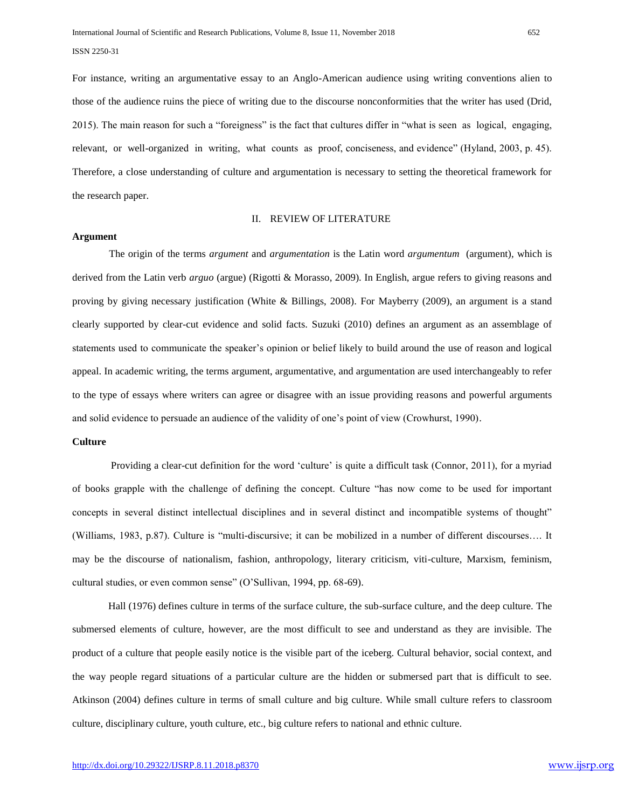For instance, writing an argumentative essay to an Anglo-American audience using writing conventions alien to those of the audience ruins the piece of writing due to the discourse nonconformities that the writer has used (Drid, 2015). The main reason for such a "foreigness" is the fact that cultures differ in "what is seen as logical, engaging, relevant, or well-organized in writing, what counts as proof, conciseness, and evidence" (Hyland, 2003, p. 45). Therefore, a close understanding of culture and argumentation is necessary to setting the theoretical framework for the research paper.

# II. REVIEW OF LITERATURE

# **Argument**

The origin of the terms *argument* and *argumentation* is the Latin word *argumentum* (argument)*,* which is derived from the Latin verb *arguo* (argue) (Rigotti & Morasso, 2009). In English, argue refers to giving reasons and proving by giving necessary justification (White & Billings, 2008). For Mayberry (2009), an argument is a stand clearly supported by clear-cut evidence and solid facts. Suzuki (2010) defines an argument as an assemblage of statements used to communicate the speaker"s opinion or belief likely to build around the use of reason and logical appeal. In academic writing, the terms argument, argumentative, and argumentation are used interchangeably to refer to the type of essays where writers can agree or disagree with an issue providing reasons and powerful arguments and solid evidence to persuade an audience of the validity of one"s point of view (Crowhurst, 1990).

# **Culture**

Providing a clear-cut definition for the word "culture" is quite a difficult task (Connor, 2011), for a myriad of books grapple with the challenge of defining the concept. Culture "has now come to be used for important concepts in several distinct intellectual disciplines and in several distinct and incompatible systems of thought" (Williams, 1983, p.87). Culture is "multi-discursive; it can be mobilized in a number of different discourses…. It may be the discourse of nationalism, fashion, anthropology, literary criticism, viti-culture, Marxism, feminism, cultural studies, or even common sense" (O"Sullivan, 1994, pp. 68-69).

Hall (1976) defines culture in terms of the surface culture, the sub-surface culture, and the deep culture. The submersed elements of culture, however, are the most difficult to see and understand as they are invisible. The product of a culture that people easily notice is the visible part of the iceberg. Cultural behavior, social context, and the way people regard situations of a particular culture are the hidden or submersed part that is difficult to see. Atkinson (2004) defines culture in terms of small culture and big culture. While small culture refers to classroom culture, disciplinary culture, youth culture, etc., big culture refers to national and ethnic culture.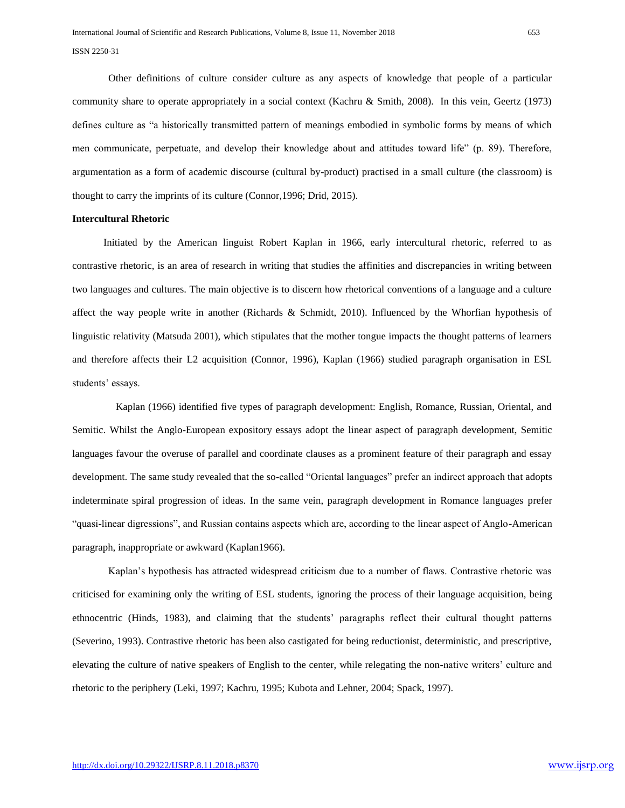Other definitions of culture consider culture as any aspects of knowledge that people of a particular community share to operate appropriately in a social context (Kachru & Smith, 2008). In this vein, Geertz (1973) defines culture as "a historically transmitted pattern of meanings embodied in symbolic forms by means of which men communicate, perpetuate, and develop their knowledge about and attitudes toward life" (p. 89). Therefore, argumentation as a form of academic discourse (cultural by-product) practised in a small culture (the classroom) is thought to carry the imprints of its culture (Connor,1996; Drid, 2015).

# **Intercultural Rhetoric**

 Initiated by the American linguist Robert Kaplan in 1966, early intercultural rhetoric, referred to as contrastive rhetoric, is an area of research in writing that studies the affinities and discrepancies in writing between two languages and cultures. The main objective is to discern how rhetorical conventions of a language and a culture affect the way people write in another (Richards & Schmidt, 2010). Influenced by the Whorfian hypothesis of linguistic relativity (Matsuda 2001), which stipulates that the mother tongue impacts the thought patterns of learners and therefore affects their L2 acquisition (Connor, 1996), Kaplan (1966) studied paragraph organisation in ESL students' essays.

Kaplan (1966) identified five types of paragraph development: English, Romance, Russian, Oriental, and Semitic. Whilst the Anglo-European expository essays adopt the linear aspect of paragraph development, Semitic languages favour the overuse of parallel and coordinate clauses as a prominent feature of their paragraph and essay development. The same study revealed that the so-called "Oriental languages" prefer an indirect approach that adopts indeterminate spiral progression of ideas. In the same vein, paragraph development in Romance languages prefer "quasi-linear digressions", and Russian contains aspects which are, according to the linear aspect of Anglo-American paragraph, inappropriate or awkward (Kaplan1966).

Kaplan"s hypothesis has attracted widespread criticism due to a number of flaws. Contrastive rhetoric was criticised for examining only the writing of ESL students, ignoring the process of their language acquisition, being ethnocentric (Hinds, 1983), and claiming that the students" paragraphs reflect their cultural thought patterns (Severino, 1993). Contrastive rhetoric has been also castigated for being reductionist, deterministic, and prescriptive, elevating the culture of native speakers of English to the center, while relegating the non-native writers" culture and rhetoric to the periphery (Leki, 1997; Kachru, 1995; Kubota and Lehner, 2004; Spack, 1997).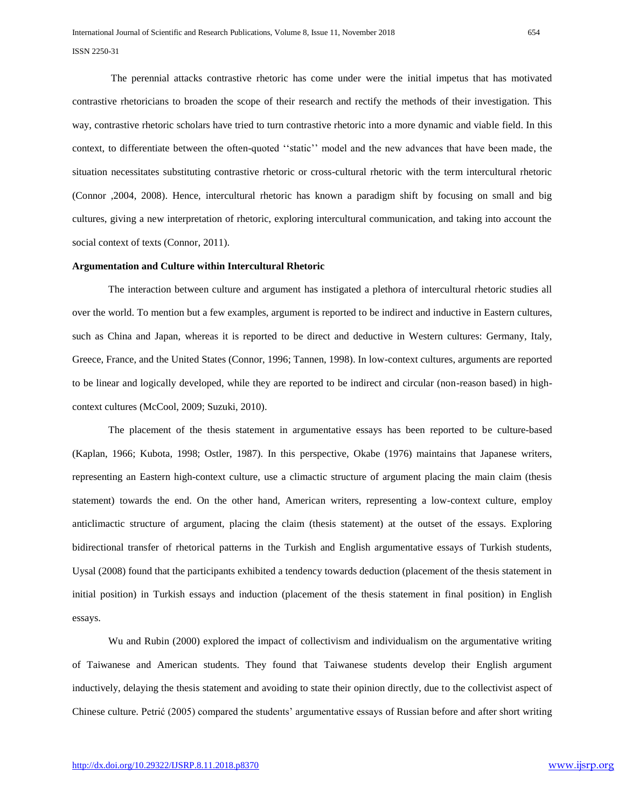The perennial attacks contrastive rhetoric has come under were the initial impetus that has motivated contrastive rhetoricians to broaden the scope of their research and rectify the methods of their investigation. This way, contrastive rhetoric scholars have tried to turn contrastive rhetoric into a more dynamic and viable field. In this context, to differentiate between the often-quoted ""static"" model and the new advances that have been made, the situation necessitates substituting contrastive rhetoric or cross-cultural rhetoric with the term intercultural rhetoric (Connor ,2004, 2008). Hence, intercultural rhetoric has known a paradigm shift by focusing on small and big cultures, giving a new interpretation of rhetoric, exploring intercultural communication, and taking into account the social context of texts (Connor, 2011).

#### **Argumentation and Culture within Intercultural Rhetoric**

The interaction between culture and argument has instigated a plethora of intercultural rhetoric studies all over the world. To mention but a few examples, argument is reported to be indirect and inductive in Eastern cultures, such as China and Japan, whereas it is reported to be direct and deductive in Western cultures: Germany, Italy, Greece, France, and the United States (Connor, 1996; Tannen, 1998). In low-context cultures, arguments are reported to be linear and logically developed, while they are reported to be indirect and circular (non-reason based) in highcontext cultures (McCool, 2009; Suzuki, 2010).

The placement of the thesis statement in argumentative essays has been reported to be culture-based (Kaplan, 1966; Kubota, 1998; Ostler, 1987). In this perspective, Okabe (1976) maintains that Japanese writers, representing an Eastern high-context culture, use a climactic structure of argument placing the main claim (thesis statement) towards the end. On the other hand, American writers, representing a low-context culture, employ anticlimactic structure of argument, placing the claim (thesis statement) at the outset of the essays. Exploring bidirectional transfer of rhetorical patterns in the Turkish and English argumentative essays of Turkish students, Uysal (2008) found that the participants exhibited a tendency towards deduction (placement of the thesis statement in initial position) in Turkish essays and induction (placement of the thesis statement in final position) in English essays.

Wu and Rubin (2000) explored the impact of collectivism and individualism on the argumentative writing of Taiwanese and American students. They found that Taiwanese students develop their English argument inductively, delaying the thesis statement and avoiding to state their opinion directly, due to the collectivist aspect of Chinese culture. Petrić (2005) compared the students" argumentative essays of Russian before and after short writing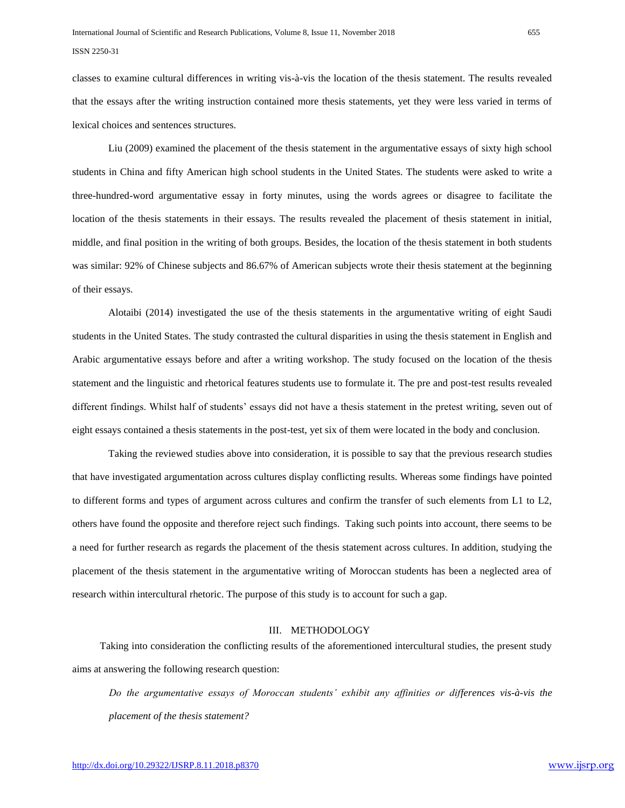classes to examine cultural differences in writing vis-à-vis the location of the thesis statement. The results revealed that the essays after the writing instruction contained more thesis statements, yet they were less varied in terms of lexical choices and sentences structures.

Liu (2009) examined the placement of the thesis statement in the argumentative essays of sixty high school students in China and fifty American high school students in the United States. The students were asked to write a three-hundred-word argumentative essay in forty minutes, using the words agrees or disagree to facilitate the location of the thesis statements in their essays. The results revealed the placement of thesis statement in initial, middle, and final position in the writing of both groups. Besides, the location of the thesis statement in both students was similar: 92% of Chinese subjects and 86.67% of American subjects wrote their thesis statement at the beginning of their essays.

Alotaibi (2014) investigated the use of the thesis statements in the argumentative writing of eight Saudi students in the United States. The study contrasted the cultural disparities in using the thesis statement in English and Arabic argumentative essays before and after a writing workshop. The study focused on the location of the thesis statement and the linguistic and rhetorical features students use to formulate it. The pre and post-test results revealed different findings. Whilst half of students" essays did not have a thesis statement in the pretest writing, seven out of eight essays contained a thesis statements in the post-test, yet six of them were located in the body and conclusion.

Taking the reviewed studies above into consideration, it is possible to say that the previous research studies that have investigated argumentation across cultures display conflicting results. Whereas some findings have pointed to different forms and types of argument across cultures and confirm the transfer of such elements from L1 to L2, others have found the opposite and therefore reject such findings. Taking such points into account, there seems to be a need for further research as regards the placement of the thesis statement across cultures. In addition, studying the placement of the thesis statement in the argumentative writing of Moroccan students has been a neglected area of research within intercultural rhetoric. The purpose of this study is to account for such a gap.

#### III. METHODOLOGY

Taking into consideration the conflicting results of the aforementioned intercultural studies, the present study aims at answering the following research question:

*Do the argumentative essays of Moroccan students' exhibit any affinities or differences vis-à-vis the placement of the thesis statement?*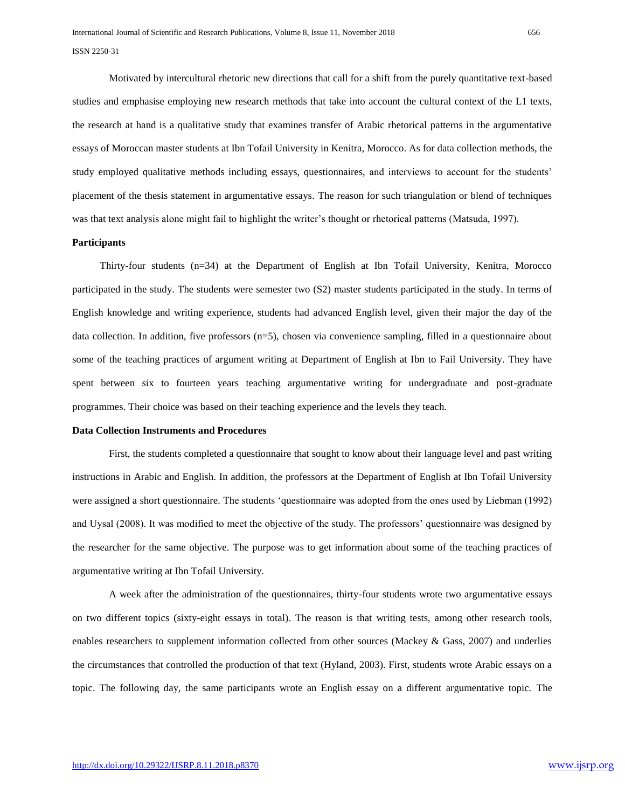Motivated by intercultural rhetoric new directions that call for a shift from the purely quantitative text-based studies and emphasise employing new research methods that take into account the cultural context of the L1 texts, the research at hand is a qualitative study that examines transfer of Arabic rhetorical patterns in the argumentative essays of Moroccan master students at Ibn Tofail University in Kenitra, Morocco. As for data collection methods, the study employed qualitative methods including essays, questionnaires, and interviews to account for the students" placement of the thesis statement in argumentative essays. The reason for such triangulation or blend of techniques was that text analysis alone might fail to highlight the writer's thought or rhetorical patterns (Matsuda, 1997).

#### **Participants**

Thirty-four students (n=34) at the Department of English at Ibn Tofail University, Kenitra, Morocco participated in the study. The students were semester two (S2) master students participated in the study. In terms of English knowledge and writing experience, students had advanced English level, given their major the day of the data collection. In addition, five professors (n=5), chosen via convenience sampling, filled in a questionnaire about some of the teaching practices of argument writing at Department of English at Ibn to Fail University. They have spent between six to fourteen years teaching argumentative writing for undergraduate and post-graduate programmes. Their choice was based on their teaching experience and the levels they teach.

#### **Data Collection Instruments and Procedures**

First, the students completed a questionnaire that sought to know about their language level and past writing instructions in Arabic and English. In addition, the professors at the Department of English at Ibn Tofail University were assigned a short questionnaire. The students "questionnaire was adopted from the ones used by Liebman (1992) and Uysal (2008). It was modified to meet the objective of the study. The professors" questionnaire was designed by the researcher for the same objective. The purpose was to get information about some of the teaching practices of argumentative writing at Ibn Tofail University.

A week after the administration of the questionnaires, thirty-four students wrote two argumentative essays on two different topics (sixty-eight essays in total). The reason is that writing tests, among other research tools, enables researchers to supplement information collected from other sources (Mackey & Gass, 2007) and underlies the circumstances that controlled the production of that text (Hyland, 2003). First, students wrote Arabic essays on a topic. The following day, the same participants wrote an English essay on a different argumentative topic. The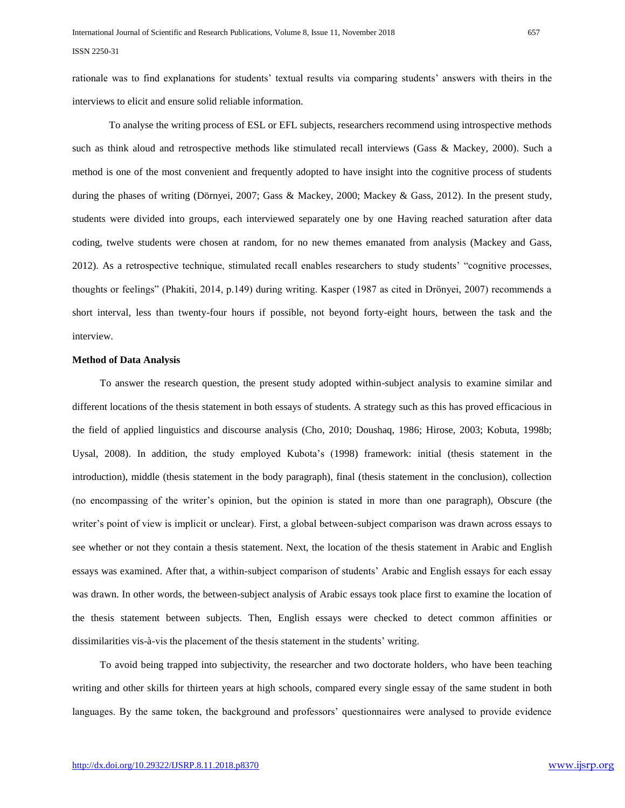rationale was to find explanations for students' textual results via comparing students' answers with theirs in the interviews to elicit and ensure solid reliable information.

To analyse the writing process of ESL or EFL subjects, researchers recommend using introspective methods such as think aloud and retrospective methods like stimulated recall interviews (Gass & Mackey, 2000). Such a method is one of the most convenient and frequently adopted to have insight into the cognitive process of students during the phases of writing (Dörnyei, 2007; Gass & Mackey, 2000; Mackey & Gass, 2012). In the present study, students were divided into groups, each interviewed separately one by one Having reached saturation after data coding, twelve students were chosen at random, for no new themes emanated from analysis (Mackey and Gass, 2012). As a retrospective technique, stimulated recall enables researchers to study students" "cognitive processes, thoughts or feelings" (Phakiti, 2014, p.149) during writing. Kasper (1987 as cited in Drönyei, 2007) recommends a short interval, less than twenty-four hours if possible, not beyond forty-eight hours, between the task and the interview.

#### **Method of Data Analysis**

To answer the research question, the present study adopted within-subject analysis to examine similar and different locations of the thesis statement in both essays of students. A strategy such as this has proved efficacious in the field of applied linguistics and discourse analysis (Cho, 2010; Doushaq, 1986; Hirose, 2003; Kobuta, 1998b; Uysal, 2008). In addition, the study employed Kubota"s (1998) framework: initial (thesis statement in the introduction), middle (thesis statement in the body paragraph), final (thesis statement in the conclusion), collection (no encompassing of the writer"s opinion, but the opinion is stated in more than one paragraph), Obscure (the writer's point of view is implicit or unclear). First, a global between-subject comparison was drawn across essays to see whether or not they contain a thesis statement. Next, the location of the thesis statement in Arabic and English essays was examined. After that, a within-subject comparison of students" Arabic and English essays for each essay was drawn. In other words, the between-subject analysis of Arabic essays took place first to examine the location of the thesis statement between subjects. Then, English essays were checked to detect common affinities or dissimilarities vis-à-vis the placement of the thesis statement in the students" writing.

To avoid being trapped into subjectivity, the researcher and two doctorate holders, who have been teaching writing and other skills for thirteen years at high schools, compared every single essay of the same student in both languages. By the same token, the background and professors' questionnaires were analysed to provide evidence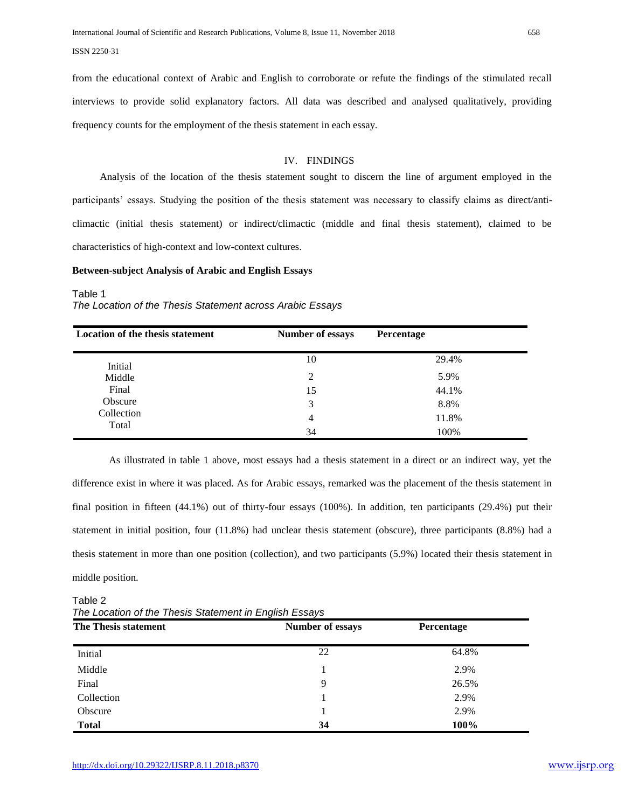from the educational context of Arabic and English to corroborate or refute the findings of the stimulated recall interviews to provide solid explanatory factors. All data was described and analysed qualitatively, providing frequency counts for the employment of the thesis statement in each essay.

# IV. FINDINGS

Analysis of the location of the thesis statement sought to discern the line of argument employed in the participants" essays. Studying the position of the thesis statement was necessary to classify claims as direct/anticlimactic (initial thesis statement) or indirect/climactic (middle and final thesis statement), claimed to be characteristics of high-context and low-context cultures.

#### **Between-subject Analysis of Arabic and English Essays**

# Table 1

# *The Location of the Thesis Statement across Arabic Essays*

| <b>Location of the thesis statement</b> | <b>Number of essays</b> | Percentage |
|-----------------------------------------|-------------------------|------------|
| Initial                                 | 10                      | 29.4%      |
| Middle                                  | 2                       | 5.9%       |
| Final                                   | 15                      | 44.1%      |
| Obscure                                 | 3                       | 8.8%       |
| Collection                              | 4                       | 11.8%      |
| Total                                   | 34                      | 100%       |

As illustrated in table 1 above, most essays had a thesis statement in a direct or an indirect way, yet the difference exist in where it was placed. As for Arabic essays, remarked was the placement of the thesis statement in final position in fifteen (44.1%) out of thirty-four essays (100%). In addition, ten participants (29.4%) put their statement in initial position, four (11.8%) had unclear thesis statement (obscure), three participants (8.8%) had a thesis statement in more than one position (collection), and two participants (5.9%) located their thesis statement in middle position.

# **The Thesis statement** *Number of essays* **Percentage** Initial 22 64.8%  $\text{Middle}$  and  $\text{Middle}$  and  $\text{Middle}$  and  $\text{Middle}$  and  $\text{Middle}$  and  $\text{MIME}$  and  $\text{MIME}$  and  $\text{MIME}$  and  $\text{MIME}$  and  $\text{MIME}$  and  $\text{MIME}$  and  $\text{MIME}$  and  $\text{MIME}$  and  $\text{MIME}$  and  $\text{MIME}$  and  $\text{MIME}$  and  $\text{MIME}$  and Final  $\overline{9}$  26.5% Collection 1 2.9% Obscure 2.9% **Total 34 100%**

Table 2 *The Location of the Thesis Statement in English Essays*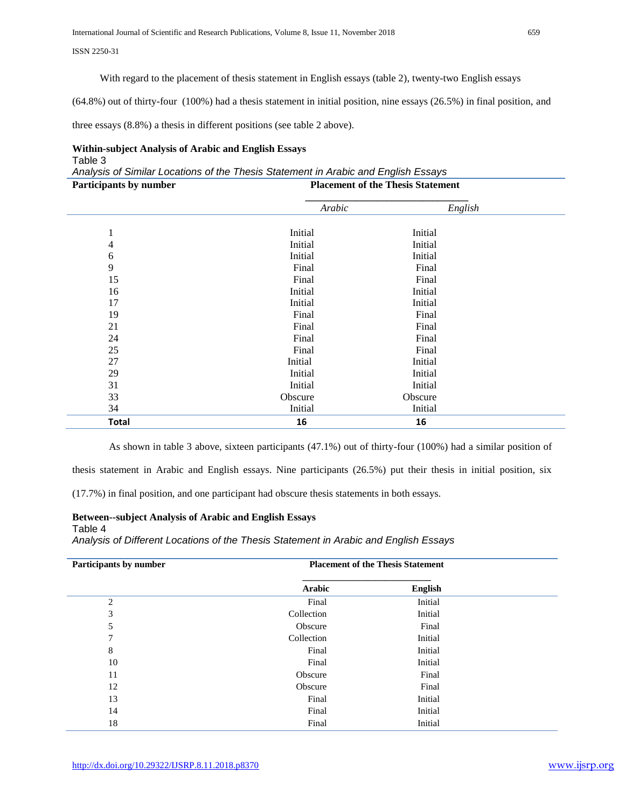With regard to the placement of thesis statement in English essays (table 2), twenty-two English essays

(64.8%) out of thirty-four (100%) had a thesis statement in initial position, nine essays (26.5%) in final position, and

three essays (8.8%) a thesis in different positions (see table 2 above).

## **Within-subject Analysis of Arabic and English Essays** Table 3

*Analysis of Similar Locations of the Thesis Statement in Arabic and English Essays* **Participants by number Placement of the Thesis Statement**

| т агистрания бу нишбег | I facement of the Thesis Statement |         |  |
|------------------------|------------------------------------|---------|--|
|                        | Arabic                             | English |  |
|                        |                                    |         |  |
| $\mathbf{I}$           | Initial                            | Initial |  |
| 4                      | Initial                            | Initial |  |
| 6                      | Initial                            | Initial |  |
| 9                      | Final                              | Final   |  |
| 15                     | Final                              | Final   |  |
| 16                     | Initial                            | Initial |  |
| 17                     | Initial                            | Initial |  |
| 19                     | Final                              | Final   |  |
| 21                     | Final                              | Final   |  |
| 24                     | Final                              | Final   |  |
| 25                     | Final                              | Final   |  |
| $27\,$                 | Initial                            | Initial |  |
| 29                     | Initial                            | Initial |  |
| 31                     | Initial                            | Initial |  |
| 33                     | Obscure                            | Obscure |  |
| 34                     | Initial                            | Initial |  |
| <b>Total</b>           | 16                                 | 16      |  |

As shown in table 3 above, sixteen participants (47.1%) out of thirty-four (100%) had a similar position of

thesis statement in Arabic and English essays. Nine participants (26.5%) put their thesis in initial position, six

(17.7%) in final position, and one participant had obscure thesis statements in both essays.

# **Between--subject Analysis of Arabic and English Essays** Table 4

*Analysis of Different Locations of the Thesis Statement in Arabic and English Essays*

| Participants by number | <b>Placement of the Thesis Statement</b> |         |  |
|------------------------|------------------------------------------|---------|--|
|                        | Arabic                                   | English |  |
| $\overline{2}$         | Final                                    | Initial |  |
| 3                      | Collection                               | Initial |  |
| 5                      | Obscure                                  | Final   |  |
| 7                      | Collection                               | Initial |  |
| 8                      | Final                                    | Initial |  |
| 10                     | Final                                    | Initial |  |
| 11                     | Obscure                                  | Final   |  |
| 12                     | Obscure                                  | Final   |  |
| 13                     | Final                                    | Initial |  |
| 14                     | Final                                    | Initial |  |
| 18                     | Final                                    | Initial |  |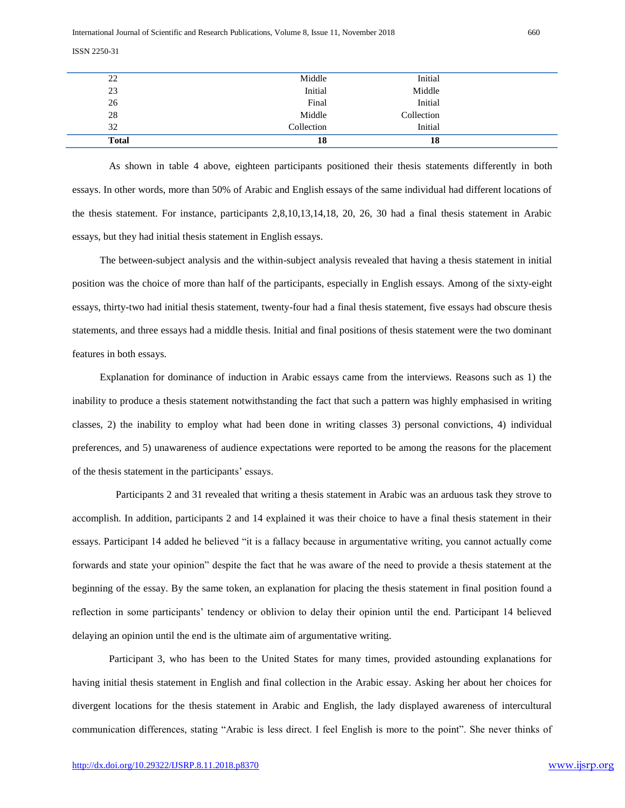| <b>Total</b> | 18         | 18         |  |
|--------------|------------|------------|--|
| 32           | Collection | Initial    |  |
| 28           | Middle     | Collection |  |
| 26           | Final      | Initial    |  |
| 23           | Initial    | Middle     |  |
| 22           | Middle     | Initial    |  |

As shown in table 4 above, eighteen participants positioned their thesis statements differently in both essays. In other words, more than 50% of Arabic and English essays of the same individual had different locations of the thesis statement. For instance, participants 2,8,10,13,14,18, 20, 26, 30 had a final thesis statement in Arabic essays, but they had initial thesis statement in English essays.

The between-subject analysis and the within-subject analysis revealed that having a thesis statement in initial position was the choice of more than half of the participants, especially in English essays. Among of the sixty-eight essays, thirty-two had initial thesis statement, twenty-four had a final thesis statement, five essays had obscure thesis statements, and three essays had a middle thesis. Initial and final positions of thesis statement were the two dominant features in both essays.

Explanation for dominance of induction in Arabic essays came from the interviews. Reasons such as 1) the inability to produce a thesis statement notwithstanding the fact that such a pattern was highly emphasised in writing classes, 2) the inability to employ what had been done in writing classes 3) personal convictions, 4) individual preferences, and 5) unawareness of audience expectations were reported to be among the reasons for the placement of the thesis statement in the participants" essays.

Participants 2 and 31 revealed that writing a thesis statement in Arabic was an arduous task they strove to accomplish. In addition, participants 2 and 14 explained it was their choice to have a final thesis statement in their essays. Participant 14 added he believed "it is a fallacy because in argumentative writing, you cannot actually come forwards and state your opinion" despite the fact that he was aware of the need to provide a thesis statement at the beginning of the essay. By the same token, an explanation for placing the thesis statement in final position found a reflection in some participants" tendency or oblivion to delay their opinion until the end. Participant 14 believed delaying an opinion until the end is the ultimate aim of argumentative writing.

Participant 3, who has been to the United States for many times, provided astounding explanations for having initial thesis statement in English and final collection in the Arabic essay. Asking her about her choices for divergent locations for the thesis statement in Arabic and English, the lady displayed awareness of intercultural communication differences, stating "Arabic is less direct. I feel English is more to the point". She never thinks of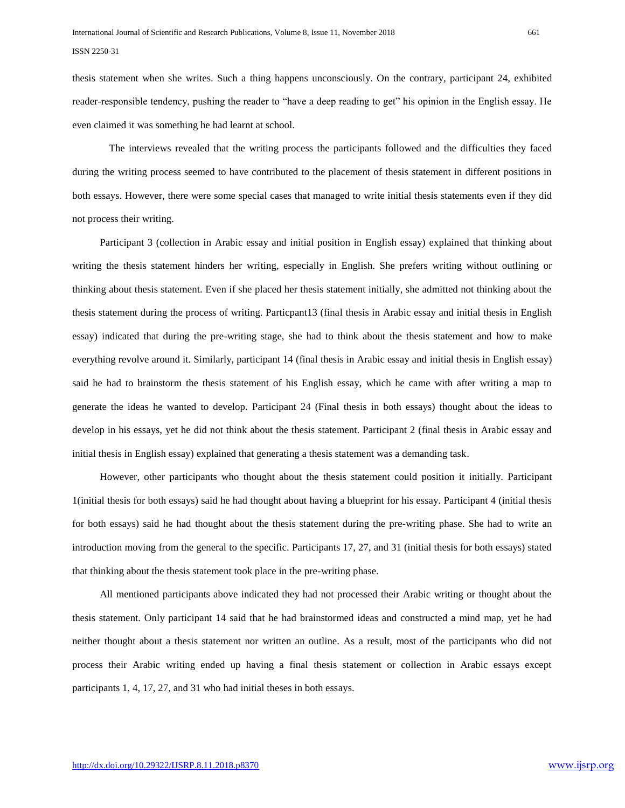thesis statement when she writes. Such a thing happens unconsciously. On the contrary, participant 24, exhibited reader-responsible tendency, pushing the reader to "have a deep reading to get" his opinion in the English essay. He even claimed it was something he had learnt at school.

The interviews revealed that the writing process the participants followed and the difficulties they faced during the writing process seemed to have contributed to the placement of thesis statement in different positions in both essays. However, there were some special cases that managed to write initial thesis statements even if they did not process their writing.

Participant 3 (collection in Arabic essay and initial position in English essay) explained that thinking about writing the thesis statement hinders her writing, especially in English. She prefers writing without outlining or thinking about thesis statement. Even if she placed her thesis statement initially, she admitted not thinking about the thesis statement during the process of writing. Particpant13 (final thesis in Arabic essay and initial thesis in English essay) indicated that during the pre-writing stage, she had to think about the thesis statement and how to make everything revolve around it. Similarly, participant 14 (final thesis in Arabic essay and initial thesis in English essay) said he had to brainstorm the thesis statement of his English essay, which he came with after writing a map to generate the ideas he wanted to develop. Participant 24 (Final thesis in both essays) thought about the ideas to develop in his essays, yet he did not think about the thesis statement. Participant 2 (final thesis in Arabic essay and initial thesis in English essay) explained that generating a thesis statement was a demanding task.

However, other participants who thought about the thesis statement could position it initially. Participant 1(initial thesis for both essays) said he had thought about having a blueprint for his essay. Participant 4 (initial thesis for both essays) said he had thought about the thesis statement during the pre-writing phase. She had to write an introduction moving from the general to the specific. Participants 17, 27, and 31 (initial thesis for both essays) stated that thinking about the thesis statement took place in the pre-writing phase.

All mentioned participants above indicated they had not processed their Arabic writing or thought about the thesis statement. Only participant 14 said that he had brainstormed ideas and constructed a mind map, yet he had neither thought about a thesis statement nor written an outline. As a result, most of the participants who did not process their Arabic writing ended up having a final thesis statement or collection in Arabic essays except participants 1, 4, 17, 27, and 31 who had initial theses in both essays.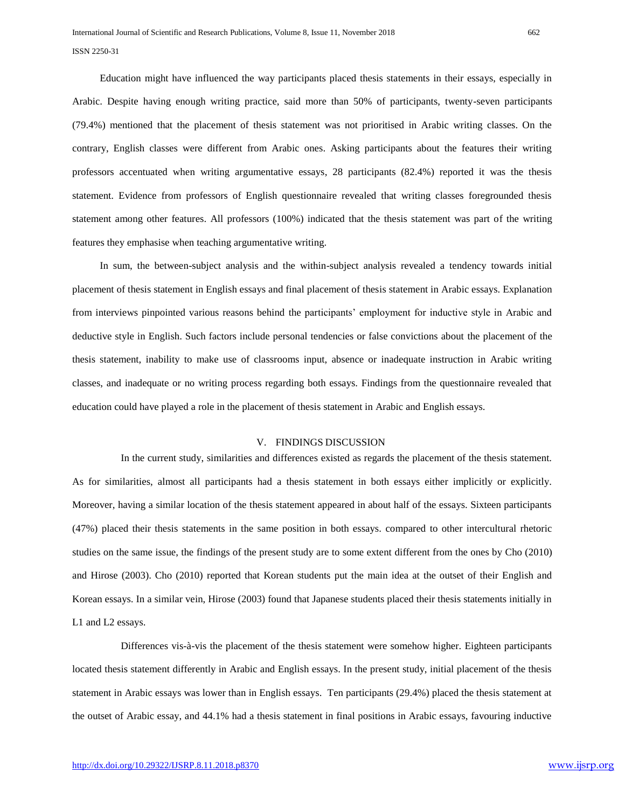Education might have influenced the way participants placed thesis statements in their essays, especially in Arabic. Despite having enough writing practice, said more than 50% of participants, twenty-seven participants (79.4%) mentioned that the placement of thesis statement was not prioritised in Arabic writing classes. On the contrary, English classes were different from Arabic ones. Asking participants about the features their writing professors accentuated when writing argumentative essays, 28 participants (82.4%) reported it was the thesis statement. Evidence from professors of English questionnaire revealed that writing classes foregrounded thesis statement among other features. All professors (100%) indicated that the thesis statement was part of the writing features they emphasise when teaching argumentative writing.

In sum, the between-subject analysis and the within-subject analysis revealed a tendency towards initial placement of thesis statement in English essays and final placement of thesis statement in Arabic essays. Explanation from interviews pinpointed various reasons behind the participants" employment for inductive style in Arabic and deductive style in English. Such factors include personal tendencies or false convictions about the placement of the thesis statement, inability to make use of classrooms input, absence or inadequate instruction in Arabic writing classes, and inadequate or no writing process regarding both essays. Findings from the questionnaire revealed that education could have played a role in the placement of thesis statement in Arabic and English essays.

# V. FINDINGS DISCUSSION

 In the current study, similarities and differences existed as regards the placement of the thesis statement. As for similarities, almost all participants had a thesis statement in both essays either implicitly or explicitly. Moreover, having a similar location of the thesis statement appeared in about half of the essays. Sixteen participants (47%) placed their thesis statements in the same position in both essays. compared to other intercultural rhetoric studies on the same issue, the findings of the present study are to some extent different from the ones by Cho (2010) and Hirose (2003). Cho (2010) reported that Korean students put the main idea at the outset of their English and Korean essays. In a similar vein, Hirose (2003) found that Japanese students placed their thesis statements initially in L1 and L2 essays.

 Differences vis-à-vis the placement of the thesis statement were somehow higher. Eighteen participants located thesis statement differently in Arabic and English essays. In the present study, initial placement of the thesis statement in Arabic essays was lower than in English essays. Ten participants (29.4%) placed the thesis statement at the outset of Arabic essay, and 44.1% had a thesis statement in final positions in Arabic essays, favouring inductive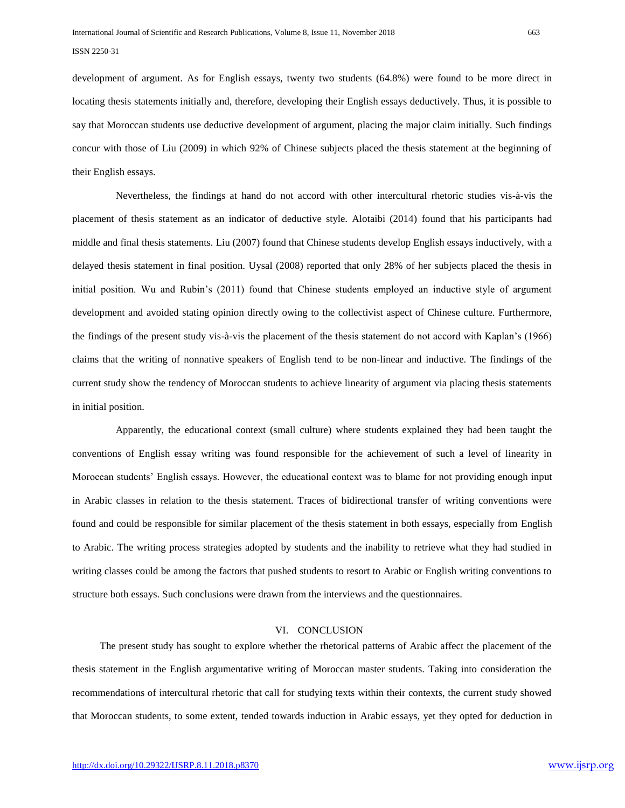development of argument. As for English essays, twenty two students (64.8%) were found to be more direct in locating thesis statements initially and, therefore, developing their English essays deductively. Thus, it is possible to say that Moroccan students use deductive development of argument, placing the major claim initially. Such findings concur with those of Liu (2009) in which 92% of Chinese subjects placed the thesis statement at the beginning of their English essays.

Nevertheless, the findings at hand do not accord with other intercultural rhetoric studies vis-à-vis the placement of thesis statement as an indicator of deductive style. Alotaibi (2014) found that his participants had middle and final thesis statements. Liu (2007) found that Chinese students develop English essays inductively, with a delayed thesis statement in final position. Uysal (2008) reported that only 28% of her subjects placed the thesis in initial position. Wu and Rubin"s (2011) found that Chinese students employed an inductive style of argument development and avoided stating opinion directly owing to the collectivist aspect of Chinese culture. Furthermore, the findings of the present study vis-à-vis the placement of the thesis statement do not accord with Kaplan"s (1966) claims that the writing of nonnative speakers of English tend to be non-linear and inductive. The findings of the current study show the tendency of Moroccan students to achieve linearity of argument via placing thesis statements in initial position.

 Apparently, the educational context (small culture) where students explained they had been taught the conventions of English essay writing was found responsible for the achievement of such a level of linearity in Moroccan students" English essays. However, the educational context was to blame for not providing enough input in Arabic classes in relation to the thesis statement. Traces of bidirectional transfer of writing conventions were found and could be responsible for similar placement of the thesis statement in both essays, especially from English to Arabic. The writing process strategies adopted by students and the inability to retrieve what they had studied in writing classes could be among the factors that pushed students to resort to Arabic or English writing conventions to structure both essays. Such conclusions were drawn from the interviews and the questionnaires.

# VI. CONCLUSION

The present study has sought to explore whether the rhetorical patterns of Arabic affect the placement of the thesis statement in the English argumentative writing of Moroccan master students. Taking into consideration the recommendations of intercultural rhetoric that call for studying texts within their contexts, the current study showed that Moroccan students, to some extent, tended towards induction in Arabic essays, yet they opted for deduction in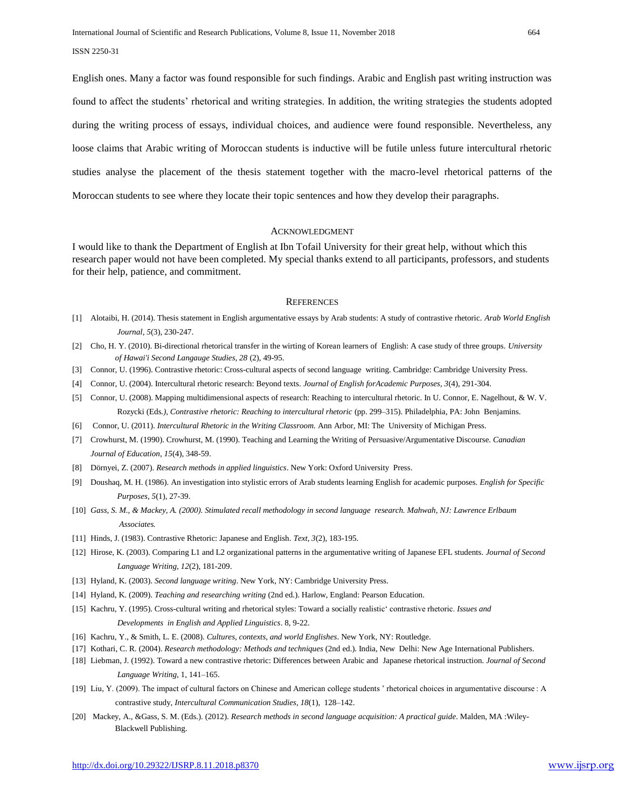English ones. Many a factor was found responsible for such findings. Arabic and English past writing instruction was found to affect the students" rhetorical and writing strategies. In addition, the writing strategies the students adopted during the writing process of essays, individual choices, and audience were found responsible. Nevertheless, any loose claims that Arabic writing of Moroccan students is inductive will be futile unless future intercultural rhetoric studies analyse the placement of the thesis statement together with the macro-level rhetorical patterns of the Moroccan students to see where they locate their topic sentences and how they develop their paragraphs.

#### ACKNOWLEDGMENT

I would like to thank the Department of English at Ibn Tofail University for their great help, without which this research paper would not have been completed. My special thanks extend to all participants, professors, and students for their help, patience, and commitment.

#### **REFERENCES**

- [1] Alotaibi, H. (2014). Thesis statement in English argumentative essays by Arab students: A study of contrastive rhetoric. *Arab World English Journal*, *5*(3), 230-247.
- [2] Cho, H. Y. (2010). Bi-directional rhetorical transfer in the wirting of Korean learners of English: A case study of three groups. *University of Hawai'i Second Langauge Studies, 28* (2), 49-95.
- [3] Connor, U. (1996). Contrastive rhetoric: Cross-cultural aspects of second language writing. Cambridge: Cambridge University Press.
- [4] Connor, U. (2004). Intercultural rhetoric research: Beyond texts. *Journal of English forAcademic Purposes, 3*(4), 291-304.
- [5] Connor, U. (2008). Mapping multidimensional aspects of research: Reaching to intercultural rhetoric. In U. Connor, E. Nagelhout, & W. V. Rozycki (Eds*.), Contrastive rhetoric: Reaching to intercultural rhetoric* (pp. 299–315). Philadelphia, PA: John Benjamins.
- [6] Connor, U. (2011). *Intercultural Rhetoric in the Writing Classroom.* Ann Arbor, MI: The University of Michigan Press.
- [7] Crowhurst, M. (1990). Crowhurst, M. (1990). Teaching and Learning the Writing of Persuasive/Argumentative Discourse. *Canadian Journal of Education*, *15*(4), 348-59.
- [8] Dörnyei, Z. (2007). *Research methods in applied linguistics*. New York: Oxford University Press.
- [9] Doushaq, M. H. (1986). An investigation into stylistic errors of Arab students learning English for academic purposes. *English for Specific Purposes, 5*(1), 27-39.
- [10] *Gass, S. M., & Mackey, A. (2000). Stimulated recall methodology in second language research. Mahwah, NJ: Lawrence Erlbaum Associates.*
- [11] Hinds, J. (1983). Contrastive Rhetoric: Japanese and English. *Text, 3*(2), 183-195.
- [12] Hirose, K. (2003). Comparing L1 and L2 organizational patterns in the argumentative writing of Japanese EFL students. *Journal of Second Language Writing, 12*(2), 181-209.
- [13] Hyland, K. (2003). *Second language writing*. New York, NY: Cambridge University Press.
- [14] Hyland, K. (2009). *Teaching and researching writing* (2nd ed.). Harlow, England: Pearson Education.
- [15] Kachru, Y. (1995). Cross-cultural writing and rhetorical styles: Toward a socially realistic" contrastive rhetoric. *Issues and Developments in English and Applied Linguistics*. 8, 9-22.
- [16] Kachru, Y., & Smith, L. E. (2008). *Cultures, contexts, and world Englishes*. New York, NY: Routledge.
- [17] Kothari, C. R. (2004). *Research methodology: Methods and techniques* (2nd ed.). India, New Delhi: New Age International Publishers.
- [18] Liebman, J. (1992). Toward a new contrastive rhetoric: Differences between Arabic and Japanese rhetorical instruction. *Journal of Second Language Writing*, 1, 141–165.
- [19] Liu, Y. (2009). The impact of cultural factors on Chinese and American college students " rhetorical choices in argumentative discourse : A contrastive study, *Intercultural Communication Studies, 18*(1), 128–142.
- [20] Mackey, A., &Gass, S. M. (Eds.). (2012). *Research methods in second language acquisition: A practical guide*. Malden, MA :Wiley- Blackwell Publishing.